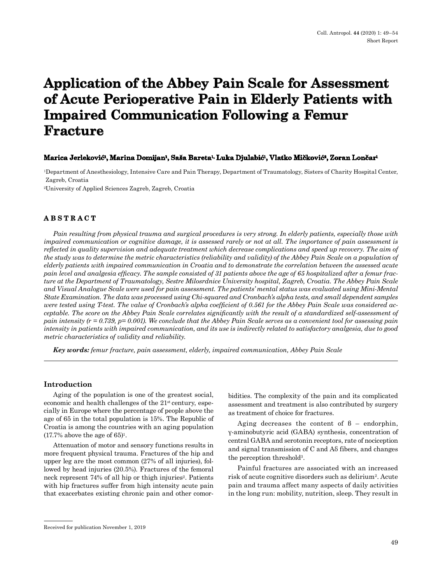# **Application of the Abbey Pain Scale for Assessment of Acute Perioperative Pain in Elderly Patients with Impaired Communication Following a Femur Fracture**

#### **Marica Jerleković1, Marina Domijan1, Saša Bareta1, Luka Djulabić1, Vlatko Mičković2, Zoran Lončar<sup>1</sup>**

1Department of Anesthesiology, Intensive Care and Pain Therapy, Department of Traumatology, Sisters of Charity Hospital Center, Zagreb, Croatia

2University of Applied Sciences Zagreb, Zagreb, Croatia

## **ABSTRACT**

*Pain resulting from physical trauma and surgical procedures is very strong. In elderly patients, especially those with impaired communication or cognitive damage, it is assessed rarely or not at all. The importance of pain assessment is reflected in quality supervision and adequate treatment which decrease complications and speed up recovery. The aim of the study was to determine the metric characteristics (reliability and validity) of the Abbey Pain Scale on a population of elderly patients with impaired communication in Croatia and to demonstrate the correlation between the assessed acute pain level and analgesia efficacy. The sample consisted of 31 patients above the age of 65 hospitalized after a femur fracture at the Department of Traumatology, Sestre Milosrdnice University hospital, Zagreb, Croatia. The Abbey Pain Scale and Visual Analogue Scale were used for pain assessment. The patients' mental status was evaluated using Mini-Mental State Examination. The data was processed using Chi-squared and Cronbach's alpha tests, and small dependent samples were tested using T-test. The value of Cronbach's alpha coefficient of 0.561 for the Abbey Pain Scale was considered acceptable. The score on the Abbey Pain Scale correlates significantly with the result of a standardized self-assessment of pain intensity (r = 0.739, p= 0.001). We conclude that the Abbey Pain Scale serves as a convenient tool for assessing pain intensity in patients with impaired communication, and its use is indirectly related to satisfactory analgesia, due to good metric characteristics of validity and reliability.*

*Key words: femur fracture, pain assessment, elderly, impaired communication, Abbey Pain Scale*

## **Introduction**

Aging of the population is one of the greatest social, economic and health challenges of the 21st century, especially in Europe where the percentage of people above the age of 65 in the total population is 15%. The Republic of Croatia is among the countries with an aging population  $(17.7\%$  above the age of 65)<sup>1</sup>.

Attenuation of motor and sensory functions results in more frequent physical trauma. Fractures of the hip and upper leg are the most common (27% of all injuries), followed by head injuries (20.5%). Fractures of the femoral neck represent 74% of all hip or thigh injuries<sup>2</sup>. Patients with hip fractures suffer from high intensity acute pain that exacerbates existing chronic pain and other comorbidities. The complexity of the pain and its complicated assessment and treatment is also contributed by surgery as treatment of choice for fractures.

Aging decreases the content of  $\beta$  – endorphin, γ-aminobutyric acid (GABA) synthesis, concentration of central GABA and serotonin receptors, rate of nociception and signal transmission of C and Aδ fibers, and changes the perception threshold3.

Painful fractures are associated with an increased risk of acute cognitive disorders such as delirium2. Acute pain and trauma affect many aspects of daily activities in the long run: mobility, nutrition, sleep. They result in

Received for publication November 1, 2019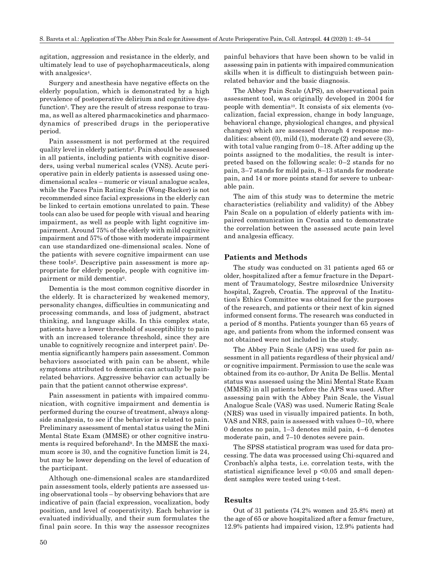agitation, aggression and resistance in the elderly, and ultimately lead to use of psychopharmaceuticals, along with analgesics<sup>4</sup>.

Surgery and anesthesia have negative effects on the elderly population, which is demonstrated by a high prevalence of postoperative delirium and cognitive dysfunction<sup>5</sup>. They are the result of stress response to trauma, as well as altered pharmacokinetics and pharmacodynamics of prescribed drugs in the perioperative period.

Pain assessment is not performed at the required quality level in elderly patients<sup>6</sup>. Pain should be assessed in all patients, including patients with cognitive disorders, using verbal numerical scales (VNS). Acute perioperative pain in elderly patients is assessed using onedimensional scales – numeric or visual analogue scales, while the Faces Pain Rating Scale (Wong-Backer) is not recommended since facial expressions in the elderly can be linked to certain emotions unrelated to pain. These tools can also be used for people with visual and hearing impairment, as well as people with light cognitive impairment. Around 75% of the elderly with mild cognitive impairment and 57% of those with moderate impairment can use standardized one-dimensional scales. None of the patients with severe cognitive impairment can use these tools2. Descriptive pain assessment is more appropriate for elderly people, people with cognitive impairment or mild dementia<sup>6</sup>.

Dementia is the most common cognitive disorder in the elderly. It is characterized by weakened memory, personality changes, difficulties in communicating and processing commands, and loss of judgment, abstract thinking, and language skills. In this complex state, patients have a lower threshold of susceptibility to pain with an increased tolerance threshold, since they are unable to cognitively recognize and interpret pain7. Dementia significantly hampers pain assessment. Common behaviors associated with pain can be absent, while symptoms attributed to dementia can actually be painrelated behaviors. Aggressive behavior can actually be pain that the patient cannot otherwise express<sup>8</sup>.

Pain assessment in patients with impaired communication, with cognitive impairment and dementia is performed during the course of treatment, always alongside analgesia, to see if the behavior is related to pain. Preliminary assessment of mental status using the Mini Mental State Exam (MMSE) or other cognitive instruments is required beforehand<sup>9</sup>. In the MMSE the maximum score is 30, and the cognitive function limit is 24, but may be lower depending on the level of education of the participant.

Although one-dimensional scales are standardized pain assessment tools, elderly patients are assessed using observational tools – by observing behaviors that are indicative of pain (facial expression, vocalization, body position, and level of cooperativity). Each behavior is evaluated individually, and their sum formulates the final pain score. In this way the assessor recognizes

50

painful behaviors that have been shown to be valid in assessing pain in patients with impaired communication skills when it is difficult to distinguish between painrelated behavior and the basic diagnosis.

The Abbey Pain Scale (APS), an observational pain assessment tool, was originally developed in 2004 for people with dementia10. It consists of six elements (vocalization, facial expression, change in body language, behavioral change, physiological changes, and physical changes) which are assessed through 4 response modalities: absent (0), mild (1), moderate (2) and severe (3), with total value ranging from 0–18. After adding up the points assigned to the modalities, the result is interpreted based on the following scale: 0–2 stands for no pain, 3–7 stands for mild pain, 8–13 stands for moderate pain, and 14 or more points stand for severe to unbearable pain.

The aim of this study was to determine the metric characteristics (reliability and validity) of the Abbey Pain Scale on a population of elderly patients with impaired communication in Croatia and to demonstrate the correlation between the assessed acute pain level and analgesia efficacy.

## **Patients and Methods**

The study was conducted on 31 patients aged 65 or older, hospitalized after a femur fracture in the Department of Traumatology, Sestre milosrdnice University hospital, Zagreb, Croatia. The approval of the Institution's Ethics Committee was obtained for the purposes of the research, and patients or their next of kin signed informed consent forms. The research was conducted in a period of 8 months. Patients younger than 65 years of age, and patients from whom the informed consent was not obtained were not included in the study.

The Abbey Pain Scale (APS) was used for pain assessment in all patients regardless of their physical and/ or cognitive impairment. Permission to use the scale was obtained from its co-author, Dr Anita De Bellis. Mental status was assessed using the Mini Mental State Exam (MMSE) in all patients before the APS was used. After assessing pain with the Abbey Pain Scale, the Visual Analogue Scale (VAS) was used. Numeric Rating Scale (NRS) was used in visually impaired patients. In both, VAS and NRS, pain is assessed with values 0–10, where 0 denotes no pain, 1–3 denotes mild pain, 4–6 denotes moderate pain, and 7–10 denotes severe pain.

The SPSS statistical program was used for data processing. The data was processed using Chi-squared and Cronbach's alpha tests, i.e. correlation tests, with the statistical significance level p <0.05 and small dependent samples were tested using t-test.

## **Results**

Out of 31 patients (74.2% women and 25.8% men) at the age of 65 or above hospitalized after a femur fracture, 12.9% patients had impaired vision, 12.9% patients had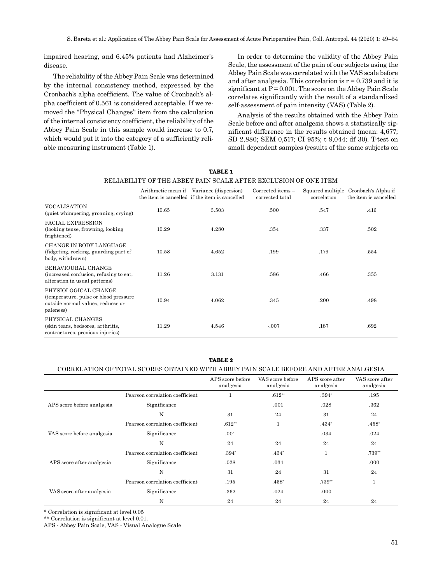impaired hearing, and 6.45% patients had Alzheimer's disease.

The reliability of the Abbey Pain Scale was determined by the internal consistency method, expressed by the Cronbach's alpha coefficient. The value of Cronbach's alpha coefficient of 0.561 is considered acceptable. If we removed the ''Physical Changes'' item from the calculation of the internal consistency coefficient, the reliability of the Abbey Pain Scale in this sample would increase to 0.7, which would put it into the category of a sufficiently reliable measuring instrument (Table 1).

In order to determine the validity of the Abbey Pain Scale, the assessment of the pain of our subjects using the Abbey Pain Scale was correlated with the VAS scale before and after analgesia. This correlation is  $r = 0.739$  and it is significant at  $P = 0.001$ . The score on the Abbey Pain Scale correlates significantly with the result of a standardized self-assessment of pain intensity (VAS) (Table 2).

Analysis of the results obtained with the Abbey Pain Scale before and after analgesia shows a statistically significant difference in the results obtained (mean: 4,677; SD 2,880; SEM 0,517; CI 95%; t 9,044; df 30). T-test on small dependent samples (results of the same subjects on

| RELIABILITY OF THE ABBEY PAIN SCALE AFTER EXCLUSION OF ONE ITEM                                                 |       |                                                                                            |                                      |                                 |                                              |  |  |  |
|-----------------------------------------------------------------------------------------------------------------|-------|--------------------------------------------------------------------------------------------|--------------------------------------|---------------------------------|----------------------------------------------|--|--|--|
|                                                                                                                 |       | Arithmetic mean if Variance (dispersion)<br>the item is cancelled if the item is cancelled | Corrected items -<br>corrected total | Squared multiple<br>correlation | Cronbach's Alpha if<br>the item is cancelled |  |  |  |
| <b>VOCALISATION</b><br>(quiet whimpering, groaning, crying)                                                     | 10.65 | 3.503                                                                                      | .500                                 | .547                            | .416                                         |  |  |  |
| <b>FACIAL EXPRESSION</b><br>(looking tense, frowning, looking)<br>frightened)                                   | 10.29 | 4.280                                                                                      | .354                                 | .337                            | .502                                         |  |  |  |
| <b>CHANGE IN BODY LANGUAGE</b><br>(fidgeting, rocking, guarding part of<br>body, withdrawn)                     | 10.58 | 4.652                                                                                      | .199                                 | .179                            | .554                                         |  |  |  |
| BEHAVIOURAL CHANGE<br>(increased confusion, refusing to eat,<br>alteration in usual patterns)                   | 11.26 | 3.131                                                                                      | .586                                 | .466                            | .355                                         |  |  |  |
| PHYSIOLOGICAL CHANGE<br>(temperature, pulse or blood pressure<br>outside normal values, redness or<br>paleness) | 10.94 | 4.062                                                                                      | .345                                 | .200                            | .498                                         |  |  |  |
| PHYSICAL CHANGES<br>(skin tears, bedsores, arthritis,<br>contractures, previous injuries)                       | 11.29 | 4.546                                                                                      | $-.007$                              | .187                            | .692                                         |  |  |  |

**TABLE 1**

#### **TABLE 2**

#### CORRELATION OF TOTAL SCORES OBTAINED WITH ABBEY PAIN SCALE BEFORE AND AFTER ANALGESIA

|                            |                                 | APS score before<br>analgesia | VAS score before<br>analgesia | APS score after<br>analgesia | VAS score after<br>analgesia |
|----------------------------|---------------------------------|-------------------------------|-------------------------------|------------------------------|------------------------------|
| APS score before analgesia | Pearson correlation coefficient |                               | $.612**$                      | $.394*$                      | .195                         |
|                            | Significance                    |                               | .001                          | .028                         | .362                         |
|                            | N                               | 31                            | 24                            | 31                           | 24                           |
| VAS score before analgesia | Pearson correlation coefficient | $.612**$                      | $\mathbf{1}$                  | $.434*$                      | $.458*$                      |
|                            | Significance                    | .001                          |                               | .034                         | .024                         |
|                            | N                               | 24                            | 24                            | 24                           | 24                           |
|                            | Pearson correlation coefficient | $.394*$                       | $.434*$                       | 1                            | $.739**$                     |
| APS score after analgesia  | Significance                    | .028                          | .034                          |                              | .000                         |
|                            | N                               | 31                            | 24                            | 31                           | 24                           |
| VAS score after analgesia  | Pearson correlation coefficient | .195                          | $.458*$                       | $.739**$                     | $\mathbf{1}$                 |
|                            | Significance                    | .362                          | .024                          | .000                         |                              |
|                            | N                               | 24                            | 24                            | 24                           | 24                           |

\* Correlation is significant at level 0.05

\*\* Correlation is significant at level 0.01.

APS - Abbey Pain Scale, VAS - Visual Analogue Scale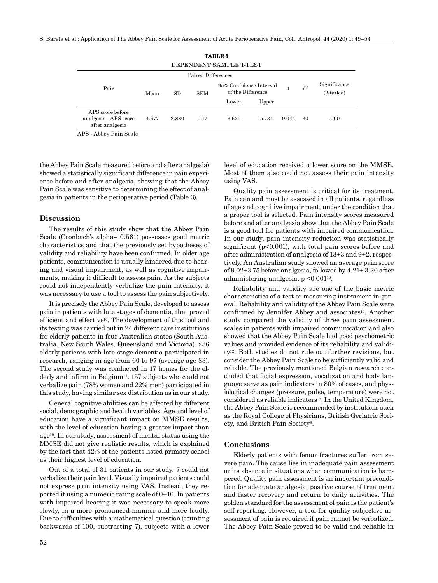| <b>TABLE 3</b>                                               |       |       |                    |                                              |       |       |    |                              |
|--------------------------------------------------------------|-------|-------|--------------------|----------------------------------------------|-------|-------|----|------------------------------|
| DEPENDENT SAMPLE T-TEST                                      |       |       |                    |                                              |       |       |    |                              |
|                                                              |       |       | Paired Differences |                                              |       |       |    |                              |
| Pair                                                         | Mean  | SD    | <b>SEM</b>         | 95% Confidence Interval<br>of the Difference |       |       | df | Significance<br>$(2-tailed)$ |
|                                                              |       |       |                    | Lower                                        | Upper |       |    |                              |
| APS score before<br>analgesia - APS score<br>after analgesia | 4.677 | 2.880 | .517               | 3.621                                        | 5.734 | 9.044 | 30 | .000                         |

APS - Abbey Pain Scale

the Abbey Pain Scale measured before and after analgesia) showed a statistically significant difference in pain experience before and after analgesia, showing that the Abbey Pain Scale was sensitive to determining the effect of analgesia in patients in the perioperative period (Table 3).

#### **Discussion**

The results of this study show that the Abbey Pain Scale (Cronbach's alpha= 0.561) possesses good metric characteristics and that the previously set hypotheses of validity and reliability have been confirmed. In older age patients, communication is usually hindered due to hearing and visual impairment, as well as cognitive impairments, making it difficult to assess pain. As the subjects could not independently verbalize the pain intensity, it was necessary to use a tool to assess the pain subjectively.

It is precisely the Abbey Pain Scale, developed to assess pain in patients with late stages of dementia, that proved efficient and effective10. The development of this tool and its testing was carried out in 24 different care institutions for elderly patients in four Australian states (South Australia, New South Wales, Queensland and Victoria). 236 elderly patients with late-stage dementia participated in research, ranging in age from 60 to 97 (average age 83). The second study was conducted in 17 homes for the elderly and infirm in Belgium<sup>11</sup>. 157 subjects who could not verbalize pain (78% women and 22% men) participated in this study, having similar sex distribution as in our study.

General cognitive abilities can be affected by different social, demographic and health variables. Age and level of education have a significant impact on MMSE results, with the level of education having a greater impact than  $age<sup>12</sup>$ . In our study, assessment of mental status using the MMSE did not give realistic results, which is explained by the fact that 42% of the patients listed primary school as their highest level of education.

Out of a total of 31 patients in our study, 7 could not verbalize their pain level. Visually impaired patients could not express pain intensity using VAS. Instead, they reported it using a numeric rating scale of 0–10. In patients with impaired hearing it was necessary to speak more slowly, in a more pronounced manner and more loudly. Due to difficulties with a mathematical question (counting backwards of 100, subtracting 7), subjects with a lower level of education received a lower score on the MMSE. Most of them also could not assess their pain intensity using VAS.

Quality pain assessment is critical for its treatment. Pain can and must be assessed in all patients, regardless of age and cognitive impairment, under the condition that a proper tool is selected. Pain intensity scores measured before and after analgesia show that the Abbey Pain Scale is a good tool for patients with impaired communication. In our study, pain intensity reduction was statistically significant ( $p<0.001$ ), with total pain scores before and after administration of analgesia of 13±3 and 9±2, respectively. An Australian study showed an average pain score of 9.02±3.75 before analgesia, followed by 4.21± 3.20 after administering analgesia, p <0.00110.

Reliability and validity are one of the basic metric characteristics of a test or measuring instrument in general. Reliability and validity of the Abbey Pain Scale were confirmed by Jennifer Abbey and associates<sup>10</sup>. Another study compared the validity of three pain assessment scales in patients with impaired communication and also showed that the Abbey Pain Scale had good psychometric values and provided evidence of its reliability and validity12. Both studies do not rule out further revisions, but consider the Abbey Pain Scale to be sufficiently valid and reliable. The previously mentioned Belgian research concluded that facial expression, vocalization and body language serve as pain indicators in 80% of cases, and physiological changes (pressure, pulse, temperature) were not considered as reliable indicators<sup>13</sup>. In the United Kingdom, the Abbey Pain Scale is recommended by institutions such as the Royal College of Physicians, British Geriatric Society, and British Pain Society6.

#### **Conclusions**

Elderly patients with femur fractures suffer from severe pain. The cause lies in inadequate pain assessment or its absence in situations when communication is hampered. Quality pain assessment is an important precondition for adequate analgesia, positive course of treatment and faster recovery and return to daily activities. The golden standard for the assessment of pain is the patient's self-reporting. However, a tool for quality subjective assessment of pain is required if pain cannot be verbalized. The Abbey Pain Scale proved to be valid and reliable in